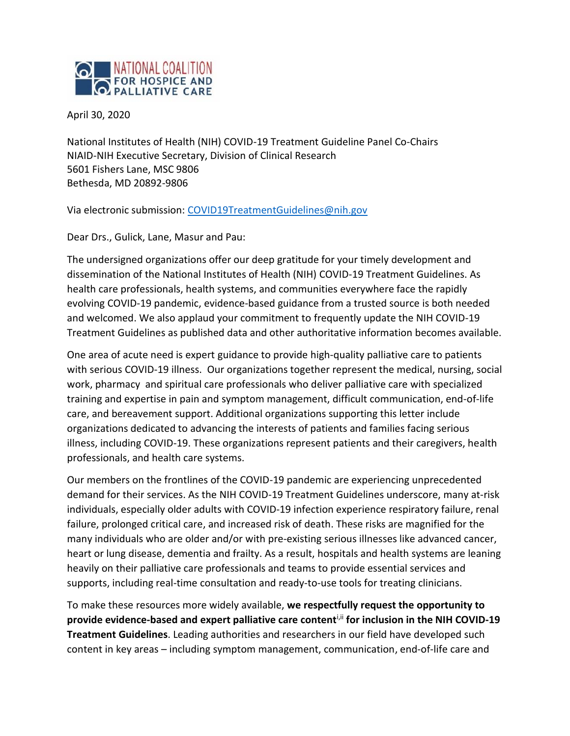

April 30, 2020

National Institutes of Health (NIH) COVID-19 Treatment Guideline Panel Co-Chairs NIAID-NIH Executive Secretary, Division of Clinical Research 5601 Fishers Lane, MSC 9806 Bethesda, MD 20892-9806

Via electronic submission: [COVID19TreatmentGuidelines@nih.gov](mailto:COVID19TreatmentGuidelines@nih.gov)

Dear Drs., Gulick, Lane, Masur and Pau:

The undersigned organizations offer our deep gratitude for your timely development and dissemination of the National Institutes of Health (NIH) COVID-19 Treatment Guidelines. As health care professionals, health systems, and communities everywhere face the rapidly evolving COVID-19 pandemic, evidence-based guidance from a trusted source is both needed and welcomed. We also applaud your commitment to frequently update the NIH COVID-19 Treatment Guidelines as published data and other authoritative information becomes available.

One area of acute need is expert guidance to provide high-quality palliative care to patients with serious COVID-19 illness. Our organizations together represent the medical, nursing, social work, pharmacy and spiritual care professionals who deliver palliative care with specialized training and expertise in pain and symptom management, difficult communication, end-of-life care, and bereavement support. Additional organizations supporting this letter include organizations dedicated to advancing the interests of patients and families facing serious illness, including COVID-19. These organizations represent patients and their caregivers, health professionals, and health care systems.

Our members on the frontlines of the COVID-19 pandemic are experiencing unprecedented demand for their services. As the NIH COVID-19 Treatment Guidelines underscore, many at-risk individuals, especially older adults with COVID-19 infection experience respiratory failure, renal failure, prolonged critical care, and increased risk of death. These risks are magnified for the many individuals who are older and/or with pre-existing serious illnesses like advanced cancer, heart or lung disease, dementia and frailty. As a result, hospitals and health systems are leaning heavily on their palliative care professionals and teams to provide essential services and supports, including real-time consultation and ready-to-use tools for treating clinicians.

To make these resources more widely available, **we respectfully request the opportunity to provide evidence-based and expert palliative care content**i,ii **for inclusion in the NIH COVID-19 Treatment Guidelines**. Leading authorities and researchers in our field have developed such content in key areas – including symptom management, communication, end-of-life care and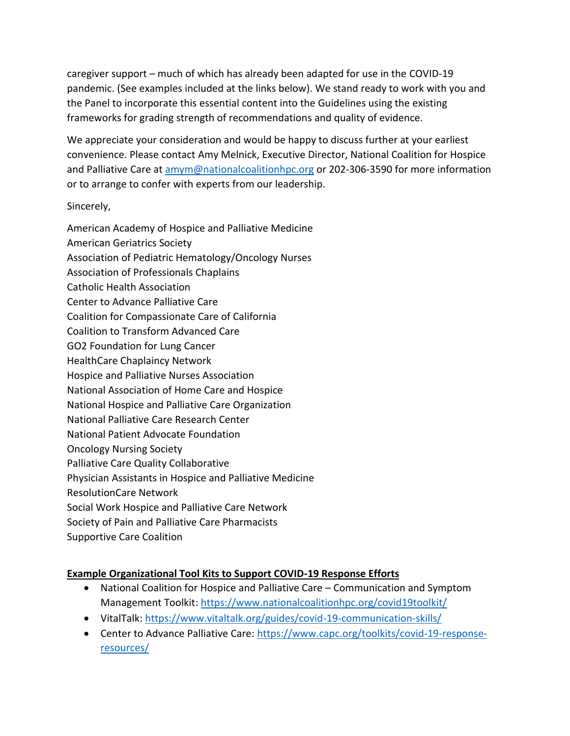caregiver support – much of which has already been adapted for use in the COVID-19 pandemic. (See examples included at the links below). We stand ready to work with you and the Panel to incorporate this essential content into the Guidelines using the existing frameworks for grading strength of recommendations and quality of evidence.

We appreciate your consideration and would be happy to discuss further at your earliest convenience. Please contact Amy Melnick, Executive Director, National Coalition for Hospice and Palliative Care at [amym@nationalcoalitionhpc.org](mailto:amym@nationalcoalitionhpc.org) or 202-306-3590 for more information or to arrange to confer with experts from our leadership.

Sincerely,

American Academy of Hospice and Palliative Medicine American Geriatrics Society Association of Pediatric Hematology/Oncology Nurses Association of Professionals Chaplains Catholic Health Association Center to Advance Palliative Care Coalition for Compassionate Care of California Coalition to Transform Advanced Care GO2 Foundation for Lung Cancer HealthCare Chaplaincy Network Hospice and Palliative Nurses Association National Association of Home Care and Hospice National Hospice and Palliative Care Organization National Palliative Care Research Center National Patient Advocate Foundation Oncology Nursing Society Palliative Care Quality Collaborative Physician Assistants in Hospice and Palliative Medicine ResolutionCare Network Social Work Hospice and Palliative Care Network Society of Pain and Palliative Care Pharmacists Supportive Care Coalition

## **Example Organizational Tool Kits to Support COVID-19 Response Efforts**

- National Coalition for Hospice and Palliative Care Communication and Symptom Management Toolkit[: https://www.nationalcoalitionhpc.org/covid19toolkit/](https://www.nationalcoalitionhpc.org/covid19toolkit/)
- VitalTalk:<https://www.vitaltalk.org/guides/covid-19-communication-skills/>
- Center to Advance Palliative Care: [https://www.capc.org/toolkits/covid-19-response](https://www.capc.org/toolkits/covid-19-response-resources/)[resources/](https://www.capc.org/toolkits/covid-19-response-resources/)